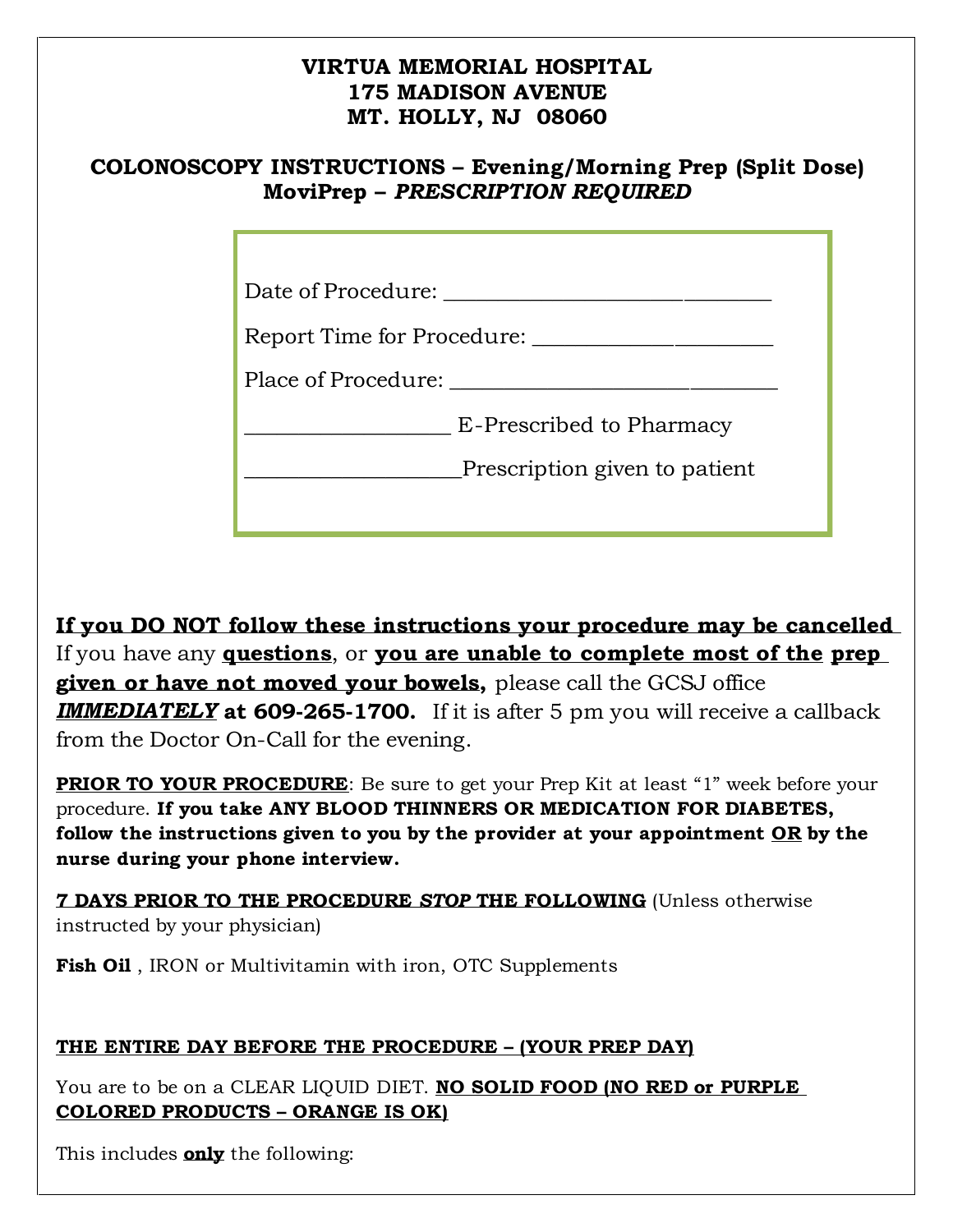## **VIRTUA MEMORIAL HOSPITAL 175 MADISON AVENUE MT. HOLLY, NJ 08060**

## **COLONOSCOPY INSTRUCTIONS – Evening/Morning Prep (Split Dose) MoviPrep –** *PRESCRIPTION REQUIRED*

Date of Procedure: \_\_\_\_\_\_\_\_\_\_\_\_\_\_\_\_\_\_\_\_\_\_\_\_\_\_\_\_\_\_

Report Time for Procedure: \_\_\_\_\_\_\_\_\_\_\_\_\_\_\_\_\_\_\_\_\_\_

Place of Procedure:  $\Box$ 

**E**-Prescribed to Pharmacy

**Example 3** Prescription given to patient

**If you DO NOT follow these instructions your procedure may be cancelled**  If you have any **questions**, or **you are unable to complete most of the prep given or have not moved your bowels,** please call the GCSJ office *IMMEDIATELY* **at 609-265-1700.** If it is after 5 pm you will receive a callback from the Doctor On-Call for the evening.

**PRIOR TO YOUR PROCEDURE:** Be sure to get your Prep Kit at least "1" week before your procedure. **If you take ANY BLOOD THINNERS OR MEDICATION FOR DIABETES, follow the instructions given to you by the provider at your appointment OR by the nurse during your phone interview.**

**7 DAYS PRIOR TO THE PROCEDURE** *STOP* **THE FOLLOWING** (Unless otherwise instructed by your physician)

**Fish Oil** , IRON or Multivitamin with iron, OTC Supplements

### **THE ENTIRE DAY BEFORE THE PROCEDURE – (YOUR PREP DAY)**

You are to be on a CLEAR LIQUID DIET. **NO SOLID FOOD (NO RED or PURPLE COLORED PRODUCTS – ORANGE IS OK)**

This includes **only** the following: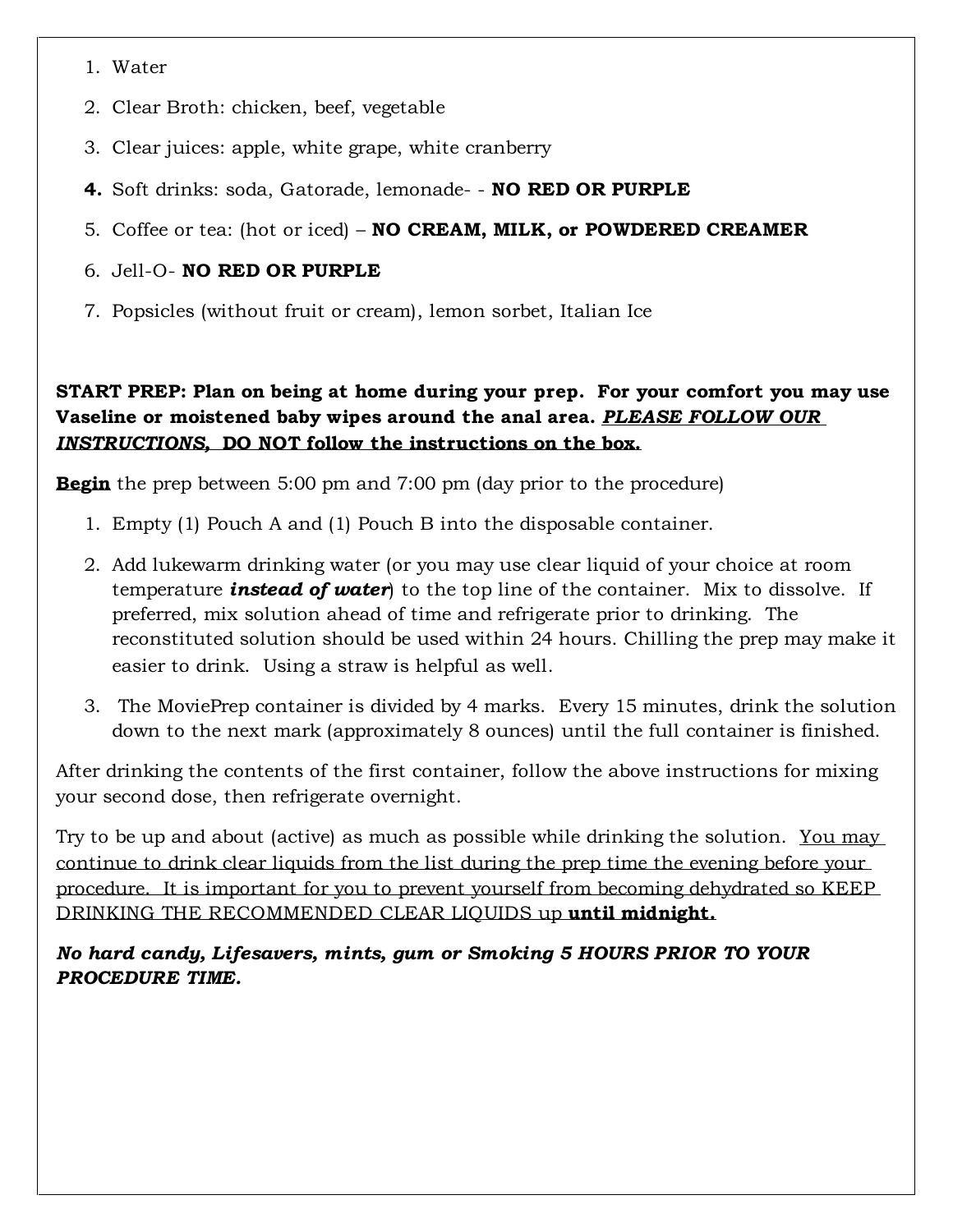- 1. Water
- 2. Clear Broth: chicken, beef, vegetable
- 3. Clear juices: apple, white grape, white cranberry
- **4.** Soft drinks: soda, Gatorade, lemonade- **NO RED OR PURPLE**
- 5. Coffee or tea: (hot or iced) **NO CREAM, MILK, or POWDERED CREAMER**

#### 6. Jell-O- **NO RED OR PURPLE**

7. Popsicles (without fruit or cream), lemon sorbet, Italian Ice

#### **START PREP: Plan on being at home during your prep. For your comfort you may use Vaseline or moistened baby wipes around the anal area.** *PLEASE FOLLOW OUR INSTRUCTIONS,* **DO NOT follow the instructions on the box.**

**Begin** the prep between 5:00 pm and 7:00 pm (day prior to the procedure)

- 1. Empty (1) Pouch A and (1) Pouch B into the disposable container.
- 2. Add lukewarm drinking water (or you may use clear liquid of your choice at room temperature *instead of water*) to the top line of the container. Mix to dissolve. If preferred, mix solution ahead of time and refrigerate prior to drinking. The reconstituted solution should be used within 24 hours. Chilling the prep may make it easier to drink. Using a straw is helpful as well.
- 3. The MoviePrep container is divided by 4 marks. Every 15 minutes, drink the solution down to the next mark (approximately 8 ounces) until the full container is finished.

After drinking the contents of the first container, follow the above instructions for mixing your second dose, then refrigerate overnight.

Try to be up and about (active) as much as possible while drinking the solution. You may continue to drink clear liquids from the list during the prep time the evening before your procedure. It is important for you to prevent yourself from becoming dehydrated so KEEP DRINKING THE RECOMMENDED CLEAR LIQUIDS up **until midnight.**

*No hard candy, Lifesavers, mints, gum or Smoking 5 HOURS PRIOR TO YOUR PROCEDURE TIME.*